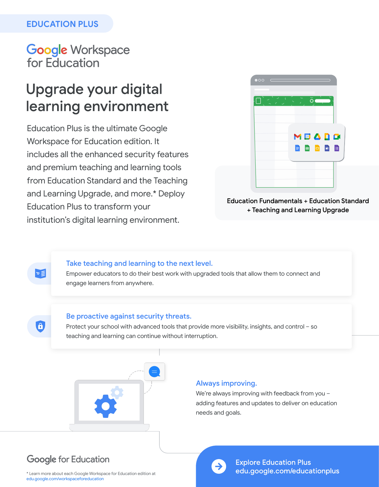### **EDUCATION PLUS**

## **Google Workspace** for Education

# Upgrade your digital learning environment

Education Plus is the ultimate Google Workspace for Education edition. It includes all the enhanced security features and premium teaching and learning tools from Education Standard and the Teaching and Learning Upgrade, and more.\* Deploy Education Plus to transform your institution's digital learning environment.



**Education Fundamentals + Education Standard** + Teaching and Learning Upgrade

### Take teaching and learning to the next level.

Empower educators to do their best work with upgraded tools that allow them to connect and engage learners from anywhere.

### Be proactive against security threats.

Protect your school with advanced tools that provide more visibility, insights, and control – so teaching and learning can continue without interruption.



#### Always improving.

We're always improving with feedback from you – adding features and updates to deliver on education needs and goals.

### **Google for Education**

≍≣

 $\bullet$ 

\* Learn more about each Google Workspace for Education edition at [edu.google.com/workspaceforeducation](http://edu.google.com/workspaceforeducation)



**Explore Education Plus** edu.google.com/educationplus